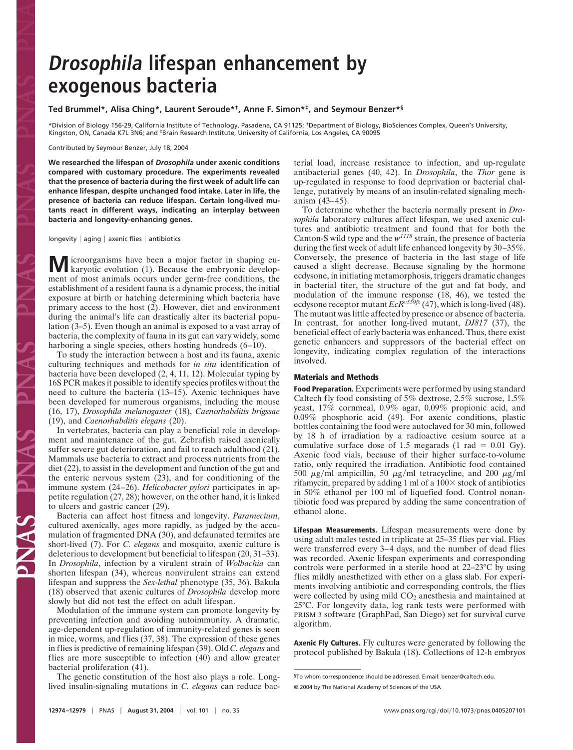# **Drosophila lifespan enhancement by exogenous bacteria**

## **Ted Brummel\*, Alisa Ching\*, Laurent Seroude\*†, Anne F. Simon\*‡, and Seymour Benzer\*§**

\*Division of Biology 156-29, California Institute of Technology, Pasadena, CA 91125; †Department of Biology, BioSciences Complex, Queen's University, Kingston, ON, Canada K7L 3N6; and <sup>‡</sup>Brain Research Institute, University of California, Los Angeles, CA 90095

Contributed by Seymour Benzer, July 18, 2004

**We researched the lifespan of** *Drosophila* **under axenic conditions compared with customary procedure. The experiments revealed that the presence of bacteria during the first week of adult life can enhance lifespan, despite unchanged food intake. Later in life, the presence of bacteria can reduce lifespan. Certain long-lived mutants react in different ways, indicating an interplay between bacteria and longevity-enhancing genes.**

longevity  $|$  aging  $|$  axenic flies  $|$  antibiotics

**M** icroorganisms have been a major factor in shaping eu-<br>karyotic evolution (1). Because the embryonic development of most animals occurs under germ-free conditions, the establishment of a resident fauna is a dynamic process, the initial exposure at birth or hatching determining which bacteria have primary access to the host (2). However, diet and environment during the animal's life can drastically alter its bacterial population (3–5). Even though an animal is exposed to a vast array of bacteria, the complexity of fauna in its gut can vary widely, some harboring a single species, others hosting hundreds (6–10).

To study the interaction between a host and its fauna, axenic culturing techniques and methods for *in situ* identification of bacteria have been developed (2, 4, 11, 12). Molecular typing by 16S PCR makes it possible to identify species profiles without the need to culture the bacteria (13–15). Axenic techniques have been developed for numerous organisms, including the mouse (16, 17), *Drosophila melanogaster* (18), *Caenorhabditis brigssae* (19), and *Caenorhabditis elegans* (20).

In vertebrates, bacteria can play a beneficial role in development and maintenance of the gut. Zebrafish raised axenically suffer severe gut deterioration, and fail to reach adulthood (21). Mammals use bacteria to extract and process nutrients from the diet (22), to assist in the development and function of the gut and the enteric nervous system (23), and for conditioning of the immune system (24–26). *Helicobacter pylori* participates in appetite regulation (27, 28); however, on the other hand, it is linked to ulcers and gastric cancer (29).

Bacteria can affect host fitness and longevity. *Paramecium*, cultured axenically, ages more rapidly, as judged by the accumulation of fragmented DNA (30), and defaunated termites are short-lived (7). For *C. elegans* and mosquito, axenic culture is deleterious to development but beneficial to lifespan (20, 31–33). In *Drosophila*, infection by a virulent strain of *Wolbachia* can shorten lifespan (34), whereas nonvirulent strains can extend lifespan and suppress the *Sex-lethal* phenotype (35, 36). Bakula (18) observed that axenic cultures of *Drosophila* develop more slowly but did not test the effect on adult lifespan.

E SANC

Modulation of the immune system can promote longevity by preventing infection and avoiding autoimmunity. A dramatic, age-dependent up-regulation of immunity-related genes is seen in mice, worms, and flies (37, 38). The expression of these genes in flies is predictive of remaining lifespan (39). Old *C. elegans* and flies are more susceptible to infection (40) and allow greater bacterial proliferation (41).

The genetic constitution of the host also plays a role. Longlived insulin-signaling mutations in *C. elegans* can reduce bacterial load, increase resistance to infection, and up-regulate antibacterial genes (40, 42). In *Drosophila*, the *Thor* gene is up-regulated in response to food deprivation or bacterial challenge, putatively by means of an insulin-related signaling mechanism (43–45).

To determine whether the bacteria normally present in *Drosophila* laboratory cultures affect lifespan, we used axenic cultures and antibiotic treatment and found that for both the Canton-S wild type and the *w<sup>1118</sup>* strain, the presence of bacteria during the first week of adult life enhanced longevity by 30–35%. Conversely, the presence of bacteria in the last stage of life caused a slight decrease. Because signaling by the hormone ecdysone, in initiating metamorphosis, triggers dramatic changes in bacterial titer, the structure of the gut and fat body, and modulation of the immune response (18, 46), we tested the ecdysone receptor mutant  $EcR^{\nu 559f s}$  (47), which is long-lived (48). The mutant was little affected by presence or absence of bacteria. In contrast, for another long-lived mutant, *DJ817* (37), the beneficial effect of early bacteria was enhanced. Thus, there exist genetic enhancers and suppressors of the bacterial effect on longevity, indicating complex regulation of the interactions involved.

### **Materials and Methods**

**Food Preparation.** Experiments were performed by using standard Caltech fly food consisting of 5% dextrose, 2.5% sucrose, 1.5% yeast, 17% cornmeal, 0.9% agar, 0.09% propionic acid, and 0.09% phosphoric acid (49). For axenic conditions, plastic bottles containing the food were autoclaved for 30 min, followed by 18 h of irradiation by a radioactive cesium source at a cumulative surface dose of 1.5 megarads (1 rad  $= 0.01$  Gy). Axenic food vials, because of their higher surface-to-volume ratio, only required the irradiation. Antibiotic food contained 500  $\mu$ g/ml ampicillin, 50  $\mu$ g/ml tetracycline, and 200  $\mu$ g/ml rifamycin, prepared by adding 1 ml of a  $100\times$  stock of antibiotics in 50% ethanol per 100 ml of liquefied food. Control nonantibiotic food was prepared by adding the same concentration of ethanol alone.

**Lifespan Measurements.** Lifespan measurements were done by using adult males tested in triplicate at 25–35 flies per vial. Flies were transferred every 3–4 days, and the number of dead flies was recorded. Axenic lifespan experiments and corresponding controls were performed in a sterile hood at 22–23°C by using flies mildly anesthetized with ether on a glass slab. For experiments involving antibiotic and corresponding controls, the flies were collected by using mild  $CO<sub>2</sub>$  anesthesia and maintained at 25°C. For longevity data, log rank tests were performed with PRISM 3 software (GraphPad, San Diego) set for survival curve algorithm.

**Axenic Fly Cultures.** Fly cultures were generated by following the protocol published by Bakula (18). Collections of 12-h embryos

<sup>§</sup>To whom correspondence should be addressed. E-mail: benzer@caltech.edu. © 2004 by The National Academy of Sciences of the USA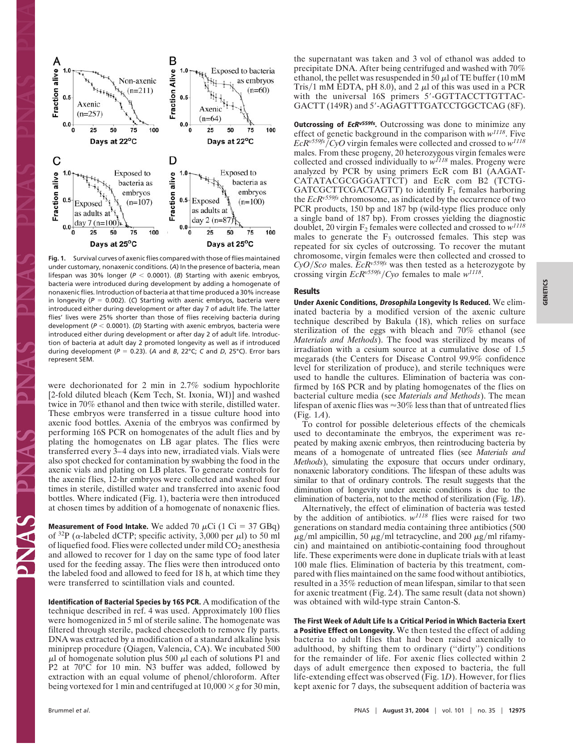

Fig. 1. Survival curves of axenic flies compared with those of flies maintained under customary, nonaxenic conditions. (*A*) In the presence of bacteria, mean lifespan was 30% longer ( $P < 0.0001$ ). (*B*) Starting with axenic embryos, bacteria were introduced during development by adding a homogenate of nonaxenic flies. Introduction of bacteria at that time produced a 30% increase in longevity ( $P = 0.002$ ). (C) Starting with axenic embryos, bacteria were introduced either during development or after day 7 of adult life. The latter flies' lives were 25% shorter than those of flies receiving bacteria during development ( $P < 0.0001$ ). (D) Starting with axenic embryos, bacteria were introduced either during development or after day 2 of adult life. Introduction of bacteria at adult day 2 promoted longevity as well as if introduced during development ( $P = 0.23$ ). (A and *B*, 22°C; *C* and *D*, 25°C). Error bars represent SEM.

were dechorionated for 2 min in 2.7% sodium hypochlorite [2-fold diluted bleach (Kem Tech, St. Ixonia, WI)] and washed twice in 70% ethanol and then twice with sterile, distilled water. These embryos were transferred in a tissue culture hood into axenic food bottles. Axenia of the embryos was confirmed by performing 16S PCR on homogenates of the adult flies and by plating the homogenates on LB agar plates. The flies were transferred every 3–4 days into new, irradiated vials. Vials were also spot checked for contamination by swabbing the food in the axenic vials and plating on LB plates. To generate controls for the axenic flies, 12-hr embryos were collected and washed four times in sterile, distilled water and transferred into axenic food bottles. Where indicated (Fig. 1), bacteria were then introduced at chosen times by addition of a homogenate of nonaxenic flies.

**Measurement of Food Intake.** We added 70  $\mu$ Ci (1 Ci = 37 GBq) of <sup>32</sup>P ( $\alpha$ -labeled dCTP; specific activity, 3,000 per  $\mu$ l) to 50 ml of liquefied food. Flies were collected under mild  $CO<sub>2</sub>$  anesthesia and allowed to recover for 1 day on the same type of food later used for the feeding assay. The flies were then introduced onto the labeled food and allowed to feed for 18 h, at which time they were transferred to scintillation vials and counted.

**Identification of Bacterial Species by 16S PCR.** A modification of the technique described in ref. 4 was used. Approximately 100 flies were homogenized in 5 ml of sterile saline. The homogenate was filtered through sterile, packed cheesecloth to remove fly parts. DNA was extracted by a modification of a standard alkaline lysis miniprep procedure (Qiagen, Valencia, CA). We incubated 500  $\mu$ l of homogenate solution plus 500  $\mu$ l each of solutions P1 and P2 at 70°C for 10 min. N3 buffer was added, followed by extraction with an equal volume of phenol/chloroform. After being vortexed for 1 min and centrifuged at  $10,000 \times g$  for 30 min,

the supernatant was taken and 3 vol of ethanol was added to precipitate DNA. After being centrifuged and washed with 70% ethanol, the pellet was resuspended in  $\bar{50}$   $\mu$ l of TE buffer (10 mM Tris/1 mM EDTA, pH 8.0), and 2  $\mu$ l of this was used in a PCR with the universal 16S primers 5'-GGTTACCTTGTTAC-GACTT (149R) and 5'-AGAGTTTGATCCTGGCTCAG (8F).

**Outcrossing of EcRv559fs.** Outcrossing was done to minimize any effect of genetic background in the comparison with *w1118*. Five *EcRv559fs*-*CyO* virgin females were collected and crossed to *w<sup>1118</sup>* males. From these progeny, 20 heterozygous virgin females were collected and crossed individually to *w<sup>1118</sup>* males. Progeny were analyzed by PCR by using primers EcR com B1 (AAGAT-CATATACGCGGGATTCT) and EcR com B2 (TCTG-GATCGCTTCGACTAGTT) to identify  $F_1$  females harboring the *EcRv559fs* chromosome, as indicated by the occurrence of two PCR products, 150 bp and 187 bp (wild-type flies produce only a single band of 187 bp). From crosses yielding the diagnostic doublet, 20 virgin F2 females were collected and crossed to *w<sup>1118</sup>* males to generate the  $F_3$  outcrossed females. This step was repeated for six cycles of outcrossing. To recover the mutant chromosome, virgin females were then collected and crossed to  $CyO/Sco$  males.  $EcR<sup>v559fs</sup>$  was then tested as a heterozygote by crossing virgin *EcRv559fs*-*Cyo* females to male *w1118*.

#### **Results**

**Under Axenic Conditions, Drosophila Longevity Is Reduced.** We eliminated bacteria by a modified version of the axenic culture technique described by Bakula (18), which relies on surface sterilization of the eggs with bleach and 70% ethanol (see *Materials and Methods*). The food was sterilized by means of irradiation with a cesium source at a cumulative dose of 1.5 megarads (the Centers for Disease Control 99.9% confidence level for sterilization of produce), and sterile techniques were used to handle the cultures. Elimination of bacteria was confirmed by 16S PCR and by plating homogenates of the flies on bacterial culture media (see *Materials and Methods*). The mean lifespan of axenic flies was  $\approx 30\%$  less than that of untreated flies (Fig. 1*A*).

To control for possible deleterious effects of the chemicals used to decontaminate the embryos, the experiment was repeated by making axenic embryos, then reintroducing bacteria by means of a homogenate of untreated flies (see *Materials and Methods*), simulating the exposure that occurs under ordinary, nonaxenic laboratory conditions. The lifespan of these adults was similar to that of ordinary controls. The result suggests that the diminution of longevity under axenic conditions is due to the elimination of bacteria, not to the method of sterilization (Fig. 1*B*).

Alternatively, the effect of elimination of bacteria was tested by the addition of antibiotics. *w<sup>1118</sup>* flies were raised for two generations on standard media containing three antibiotics (500  $\mu$ g/ml ampicillin, 50  $\mu$ g/ml tetracycline, and 200  $\mu$ g/ml rifamycin) and maintained on antibiotic-containing food throughout life. These experiments were done in duplicate trials with at least 100 male flies. Elimination of bacteria by this treatment, compared with flies maintained on the same food without antibiotics, resulted in a 35% reduction of mean lifespan, similar to that seen for axenic treatment (Fig. 2*A*). The same result (data not shown) was obtained with wild-type strain Canton-S.

**The First Week of Adult Life Is a Critical Period in Which Bacteria Exert a Positive Effect on Longevity.** We then tested the effect of adding bacteria to adult flies that had been raised axenically to adulthood, by shifting them to ordinary (''dirty'') conditions for the remainder of life. For axenic flies collected within 2 days of adult emergence then exposed to bacteria, the full life-extending effect was observed (Fig. 1*D*). However, for flies kept axenic for 7 days, the subsequent addition of bacteria was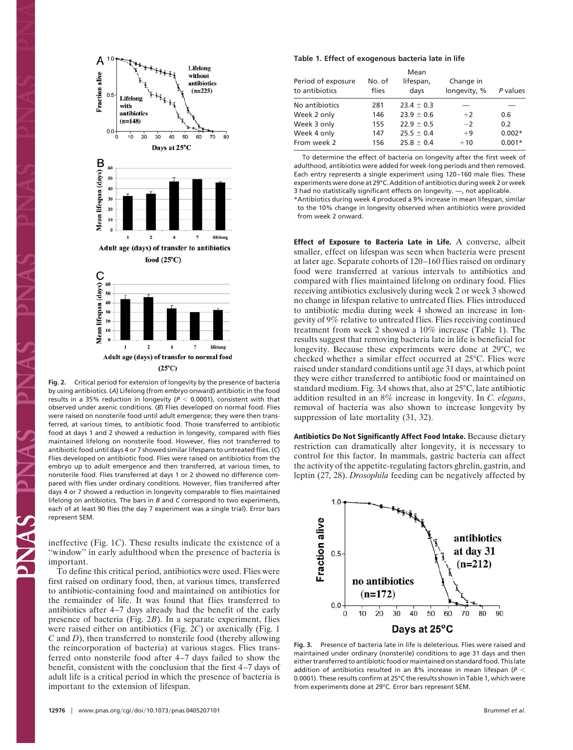

**Fig. 2.** Critical period for extension of longevity by the presence of bacteria by using antibiotics. (*A*) Lifelong (from embryo onward) antibiotic in the food results in a 35% reduction in longevity ( $P < 0.0001$ ), consistent with that observed under axenic conditions. (*B*) Flies developed on normal food. Flies were raised on nonsterile food until adult emergence; they were then transferred, at various times, to antibiotic food. Those transferred to antibiotic food at days 1 and 2 showed a reduction in longevity, compared with flies maintained lifelong on nonsterile food. However, flies not transferred to antibiotic food until days 4 or 7 showed similar lifespans to untreated flies. (*C*) Flies developed on antibiotic food. Flies were raised on antibiotics from the embryo up to adult emergence and then transferred, at various times, to nonsterile food. Flies transferred at days 1 or 2 showed no difference compared with flies under ordinary conditions. However, flies transferred after days 4 or 7 showed a reduction in longevity comparable to flies maintained lifelong on antibiotics. The bars in *B* and *C* correspond to two experiments, each of at least 90 flies (the day 7 experiment was a single trial). Error bars represent SEM.

ineffective (Fig. 1*C*). These results indicate the existence of a "window" in early adulthood when the presence of bacteria is important.

To define this critical period, antibiotics were used. Flies were first raised on ordinary food, then, at various times, transferred to antibiotic-containing food and maintained on antibiotics for the remainder of life. It was found that flies transferred to antibiotics after 4–7 days already had the benefit of the early presence of bacteria (Fig. 2*B*). In a separate experiment, flies were raised either on antibiotics (Fig. 2*C*) or axenically (Fig. 1 *C* and *D*), then transferred to nonsterile food (thereby allowing the reincorporation of bacteria) at various stages. Flies transferred onto nonsterile food after 4–7 days failed to show the benefit, consistent with the conclusion that the first 4–7 days of adult life is a critical period in which the presence of bacteria is important to the extension of lifespan.

#### **Table 1. Effect of exogenous bacteria late in life**

| Period of exposure<br>to antibiotics | No. of<br>flies | Mean<br>lifespan,<br>days | Change in<br>longevity, % | P values |
|--------------------------------------|-----------------|---------------------------|---------------------------|----------|
| No antibiotics                       | 281             | $23.4 \pm 0.3$            |                           |          |
| Week 2 only                          | 146             | $23.9 \pm 0.6$            | $+2$                      | 0.6      |
| Week 3 only                          | 155             | $22.9 \pm 0.5$            | $-2$                      | 0.2      |
| Week 4 only                          | 147             | $25.5 \pm 0.4$            | $+9$                      | $0.002*$ |
| From week 2                          | 156             | $25.8 \pm 0.4$            | $+10$                     | $0.001*$ |

To determine the effect of bacteria on longevity after the first week of adulthood, antibiotics were added for week-long periods and then removed. Each entry represents a single experiment using 120–160 male flies. These experiments were done at 29°C. Addition of antibiotics during week 2 or week 3 had no statistically significant effects on longevity. —, not applicable.

\*Antibiotics during week 4 produced a 9% increase in mean lifespan, similar to the 10% change in longevity observed when antibiotics were provided from week 2 onward.

**Effect of Exposure to Bacteria Late in Life.** A converse, albeit smaller, effect on lifespan was seen when bacteria were present at later age. Separate cohorts of 120–160 flies raised on ordinary food were transferred at various intervals to antibiotics and compared with flies maintained lifelong on ordinary food. Flies receiving antibiotics exclusively during week 2 or week 3 showed no change in lifespan relative to untreated flies. Flies introduced to antibiotic media during week 4 showed an increase in longevity of 9% relative to untreated flies. Flies receiving continued treatment from week 2 showed a 10% increase (Table 1). The results suggest that removing bacteria late in life is beneficial for longevity. Because these experiments were done at 29°C, we checked whether a similar effect occurred at 25°C. Flies were raised under standard conditions until age 31 days, at which point they were either transferred to antibiotic food or maintained on standard medium. Fig. 3*A* shows that, also at 25°C, late antibiotic addition resulted in an 8% increase in longevity. In *C. elegans*, removal of bacteria was also shown to increase longevity by suppression of late mortality (31, 32).

**Antibiotics Do Not Significantly Affect Food Intake.** Because dietary restriction can dramatically alter longevity, it is necessary to control for this factor. In mammals, gastric bacteria can affect the activity of the appetite-regulating factors ghrelin, gastrin, and leptin (27, 28). *Drosophila* feeding can be negatively affected by



**Fig. 3.** Presence of bacteria late in life is deleterious. Flies were raised and maintained under ordinary (nonsterile) conditions to age 31 days and then either transferred to antibiotic food or maintained on standard food. This late addition of antibiotics resulted in an 8% increase in mean lifespan (*P* 0.0001). These results confirm at 25°C the results shown in Table 1, which were from experiments done at 29°C. Error bars represent SEM.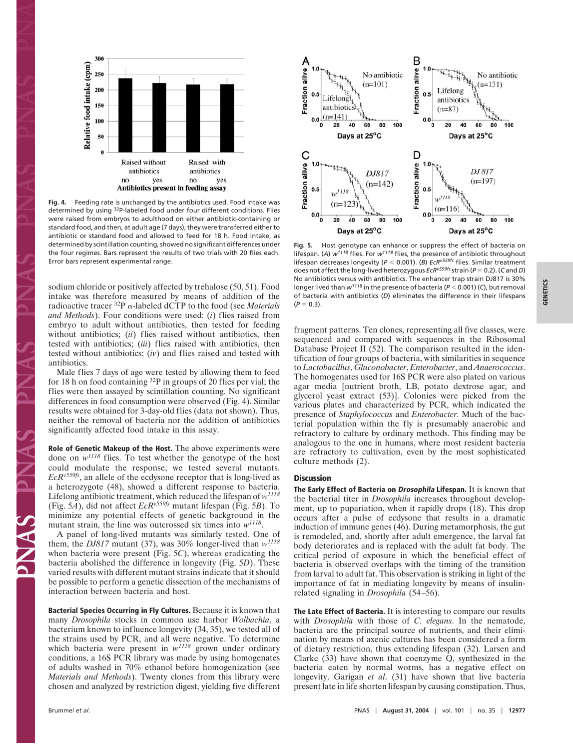

**Fig. 4.** Feeding rate is unchanged by the antibiotics used. Food intake was determined by using 32P-labeled food under four different conditions. Flies were raised from embryos to adulthood on either antibiotic-containing or standard food, and then, at adult age (7 days), they were transferred either to antibiotic or standard food and allowed to feed for 18 h. Food intake, as determined by scintillation counting, showed no significant differences under the four regimes. Bars represent the results of two trials with 20 flies each. Error bars represent experimental range.

sodium chloride or positively affected by trehalose (50, 51). Food intake was therefore measured by means of addition of the radioactive tracer <sup>32</sup>P α-labeled dCTP to the food (see *Materials and Methods*). Four conditions were used: (*i*) flies raised from embryo to adult without antibiotics, then tested for feeding without antibiotics; *(ii)* flies raised without antibiotics, then tested with antibiotics; (*iii*) flies raised with antibiotics, then tested without antibiotics; (*iv*) and flies raised and tested with antibiotics.

Male flies 7 days of age were tested by allowing them to feed for 18 h on food containing  $^{32}P$  in groups of 20 flies per vial; the flies were then assayed by scintillation counting. No significant differences in food consumption were observed (Fig. 4). Similar results were obtained for 3-day-old flies (data not shown). Thus, neither the removal of bacteria nor the addition of antibiotics significantly affected food intake in this assay.

**Role of Genetic Makeup of the Host.** The above experiments were done on *w<sup>1118</sup>* flies. To test whether the genotype of the host could modulate the response, we tested several mutants. *EcRv559fs*, an allele of the ecdysone receptor that is long-lived as a heterozygote (48), showed a different response to bacteria. Lifelong antibiotic treatment, which reduced the lifespan of *w<sup>1118</sup>* (Fig. 5*A*), did not affect *EcRv559fs* mutant lifespan (Fig. 5*B*). To minimize any potential effects of genetic background in the mutant strain, the line was outcrossed six times into *w1118*.

A panel of long-lived mutants was similarly tested. One of them, the *DJ817* mutant (37), was 30% longer-lived than *w<sup>1118</sup>* when bacteria were present (Fig. 5*C*), whereas eradicating the bacteria abolished the difference in longevity (Fig. 5*D*). These varied results with different mutant strains indicate that it should be possible to perform a genetic dissection of the mechanisms of interaction between bacteria and host.

**Bacterial Species Occurring in Fly Cultures.** Because it is known that many *Drosophila* stocks in common use harbor *Wolbachia*, a bacterium known to influence longevity (34, 35), we tested all of the strains used by PCR, and all were negative. To determine which bacteria were present in  $w^{1118}$  grown under ordinary conditions, a 16S PCR library was made by using homogenates of adults washed in 70% ethanol before homogenization (see *Materials and Methods*). Twenty clones from this library were chosen and analyzed by restriction digest, yielding five different



**Fig. 5.** Host genotype can enhance or suppress the effect of bacteria on lifespan. (*A*) *w1118* flies. For *w1118* flies, the presence of antibiotic throughout lifespan decreases longevity ( $P < 0.001$ ). (B) *EcR<sup>v559fs</sup>* flies. Similar treatment does not affect the long-lived heterozygous *EcRv559fs* strain (*P* 0.2). (*C* and *D*) No antibiotics versus with antibiotics. The enhancer trap strain DJ817 is 30% longer lived than  $w^{1118}$  in the presence of bacteria ( $P < 0.001$ ) (C), but removal of bacteria with antibiotics (*D*) eliminates the difference in their lifespans  $(P = 0.3)$ .

fragment patterns. Ten clones, representing all five classes, were sequenced and compared with sequences in the Ribosomal Database Project II (52). The comparison resulted in the identification of four groups of bacteria, with similarities in sequence to *Lactobacillus*, *Gluconobacter*, *Enterobacter*, and *Anaerococcus*. The homogenates used for 16S PCR were also plated on various agar media [nutrient broth, LB, potato dextrose agar, and glycerol yeast extract (53)]. Colonies were picked from the various plates and characterized by PCR, which indicated the presence of *Staphylococcus* and *Enterobacter*. Much of the bacterial population within the fly is presumably anaerobic and refractory to culture by ordinary methods. This finding may be analogous to the one in humans, where most resident bacteria are refractory to cultivation, even by the most sophisticated culture methods (2).

#### **Discussion**

**The Early Effect of Bacteria on Drosophila Lifespan.** It is known that the bacterial titer in *Drosophila* increases throughout development, up to pupariation, when it rapidly drops (18). This drop occurs after a pulse of ecdysone that results in a dramatic induction of immune genes (46). During metamorphosis, the gut is remodeled, and, shortly after adult emergence, the larval fat body deteriorates and is replaced with the adult fat body. The critical period of exposure in which the beneficial effect of bacteria is observed overlaps with the timing of the transition from larval to adult fat. This observation is striking in light of the importance of fat in mediating longevity by means of insulinrelated signaling in *Drosophila* (54–56).

**The Late Effect of Bacteria.** It is interesting to compare our results with *Drosophila* with those of *C. elegans*. In the nematode, bacteria are the principal source of nutrients, and their elimination by means of axenic cultures has been considered a form of dietary restriction, thus extending lifespan (32). Larsen and Clarke (33) have shown that coenzyme Q, synthesized in the bacteria eaten by normal worms, has a negative effect on longevity. Garigan *et al*. (31) have shown that live bacteria present late in life shorten lifespan by causing constipation. Thus,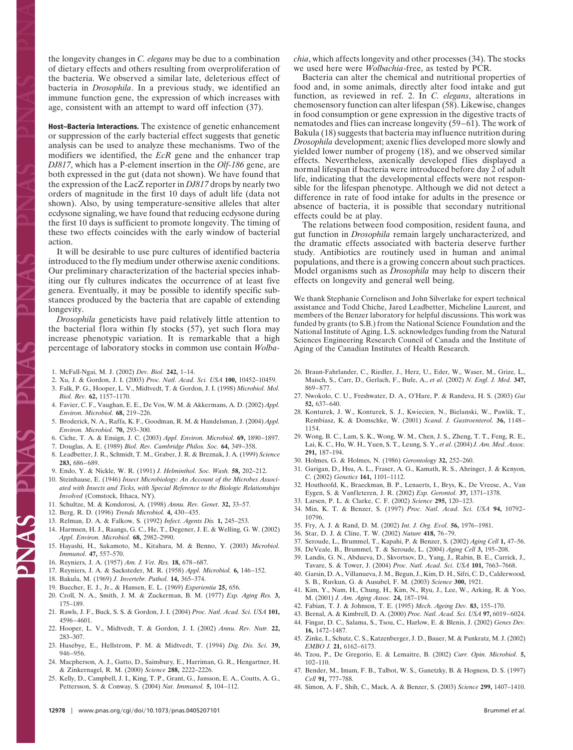the longevity changes in *C. elegans* may be due to a combination of dietary effects and others resulting from overproliferation of the bacteria. We observed a similar late, deleterious effect of bacteria in *Drosophila*. In a previous study, we identified an immune function gene, the expression of which increases with age, consistent with an attempt to ward off infection (37).

**Host–Bacteria Interactions.** The existence of genetic enhancement or suppression of the early bacterial effect suggests that genetic analysis can be used to analyze these mechanisms. Two of the modifiers we identified, the *EcR* gene and the enhancer trap *DJ817*, which has a P-element insertion in the *Olf-186* gene, are both expressed in the gut (data not shown). We have found that the expression of the LacZ reporter in *DJ817* drops by nearly two orders of magnitude in the first 10 days of adult life (data not shown). Also, by using temperature-sensitive alleles that alter ecdysone signaling, we have found that reducing ecdysone during the first 10 days is sufficient to promote longevity. The timing of these two effects coincides with the early window of bacterial action.

It will be desirable to use pure cultures of identified bacteria introduced to the fly medium under otherwise axenic conditions. Our preliminary characterization of the bacterial species inhabiting our fly cultures indicates the occurrence of at least five genera. Eventually, it may be possible to identify specific substances produced by the bacteria that are capable of extending longevity.

*Drosophila* geneticists have paid relatively little attention to the bacterial flora within fly stocks (57), yet such flora may increase phenotypic variation. It is remarkable that a high percentage of laboratory stocks in common use contain *Wolba-*

1. McFall-Ngai, M. J. (2002) *Dev. Biol.* **242,** 1–14.

- 2. Xu, J. & Gordon, J. I. (2003) *Proc. Natl. Acad. Sci. USA* **100,** 10452–10459.
- 3. Falk, P. G., Hooper, L. V., Midtvedt, T. & Gordon, J. I. (1998) *Microbiol. Mol. Biol. Rev.* **62,** 1157–1170.
- 4. Favier, C. F., Vaughan, E. E., De Vos, W. M. & Akkermans, A. D. (2002) *Appl. Environ. Microbiol.* **68,** 219–226.
- 5. Broderick, N. A., Raffa, K. F., Goodman, R. M. & Handelsman, J. (2004) *Appl. Environ. Microbiol.* **70,** 293–300.
- 6. Ciche, T. A. & Ensign, J. C. (2003) *Appl. Environ. Microbiol.* **69,** 1890–1897.
- 7. Douglas, A. E. (1989) *Biol. Rev. Cambridge Philos. Soc.* **64,** 349–358.
- 8. Leadbetter, J. R., Schmidt, T. M., Graber, J. R. & Breznak, J. A. (1999) *Science* **283,** 686–689.
- 9. Endo, Y. & Nickle, W. R. (1991) *J. Helminthol. Soc. Wash.* **58,** 202–212.
- 10. Steinhause, E. (1946) *Insect Microbiology: An Account of the Microbes Associated with Insects and Ticks, with Special Reference to the Biologic Relationships Involved* (Comstock, Ithaca, NY).
- 11. Schultze, M. & Kondorosi, A. (1998) *Annu. Rev. Genet.* **32,** 33–57.
- 12. Berg, R. D. (1996) *Trends Microbiol.* **4,** 430–435.

PRAS PR

- 13. Relman, D. A. & Falkow, S. (1992) *Infect. Agents Dis.* **1,** 245–253.
- 14. Harmsen, H. J., Raangs, G. C., He, T., Degener, J. E. & Welling, G. W. (2002) *Appl. Environ. Microbiol.* **68,** 2982–2990.
- 15. Hayashi, H., Sakamoto, M., Kitahara, M. & Benno, Y. (2003) *Microbiol. Immunol.* **47,** 557–570.
- 16. Reyniers, J. A. (1957) *Am. J. Vet. Res.* **18,** 678–687.
- 17. Reyniers, J. A. & Sacksteder, M. R. (1958) *Appl. Microbiol.* **6,** 146–152.
- 18. Bakula, M. (1969) *J. Invertebr. Pathol.* **14,** 365–374.
- 19. Buecher, E. J., Jr., & Hansen, E. L. (1969) *Experientia* **25,** 656.
- 20. Croll, N. A., Smith, J. M. & Zuckerman, B. M. (1977) *Exp. Aging Res.* **3,** 175–189.
- 21. Rawls, J. F., Buck, S. S. & Gordon, J. I. (2004) *Proc. Natl. Acad. Sci. USA* **101,** 4596–4601.
- 22. Hooper, L. V., Midtvedt, T. & Gordon, J. I. (2002) *Annu. Rev. Nutr.* **22,** 283–307.
- 23. Husebye, E., Hellstrom, P. M. & Midtvedt, T. (1994) *Dig. Dis. Sci.* **39,** 946–956.
- 24. Macpherson, A. J., Gatto, D., Sainsbury, E., Harriman, G. R., Hengartner, H. & Zinkernagel, R. M. (2000) *Science* **288,** 2222–2226.
- 25. Kelly, D., Campbell, J. I., King, T. P., Grant, G., Jansson, E. A., Coutts, A. G., Pettersson, S. & Conway, S. (2004) *Nat. Immunol.* **5,** 104–112.

*chia*, which affects longevity and other processes (34). The stocks we used here were *Wolbachia*-free, as tested by PCR.

Bacteria can alter the chemical and nutritional properties of food and, in some animals, directly alter food intake and gut function, as reviewed in ref. 2. In *C. elegans*, alterations in chemosensory function can alter lifespan (58). Likewise, changes in food consumption or gene expression in the digestive tracts of nematodes and flies can increase longevity (59–61). The work of Bakula (18) suggests that bacteria may influence nutrition during *Drosophila* development; axenic flies developed more slowly and yielded lower number of progeny (18), and we observed similar effects. Nevertheless, axenically developed flies displayed a normal lifespan if bacteria were introduced before day 2 of adult life, indicating that the developmental effects were not responsible for the lifespan phenotype. Although we did not detect a difference in rate of food intake for adults in the presence or absence of bacteria, it is possible that secondary nutritional effects could be at play.

The relations between food composition, resident fauna, and gut function in *Drosophila* remain largely uncharacterized, and the dramatic effects associated with bacteria deserve further study. Antibiotics are routinely used in human and animal populations, and there is a growing concern about such practices. Model organisms such as *Drosophila* may help to discern their effects on longevity and general well being.

We thank Stephanie Cornelison and John Silverlake for expert technical assistance and Todd Chiche, Jared Leadbetter, Micheline Laurent, and members of the Benzer laboratory for helpful discussions. This work was funded by grants (to S.B.) from the National Science Foundation and the National Institute of Aging. L.S. acknowledges funding from the Natural Sciences Engineering Research Council of Canada and the Institute of Aging of the Canadian Institutes of Health Research.

- 26. Braun-Fahrlander, C., Riedler, J., Herz, U., Eder, W., Waser, M., Grize, L., Maisch, S., Carr, D., Gerlach, F., Bufe, A., *et al*. (2002) *N. Engl. J. Med.* **347,** 869–877.
- 27. Nwokolo, C. U., Freshwater, D. A., O'Hare, P. & Randeva, H. S. (2003) *Gut* **52,** 637–640.
- 28. Konturek, J. W., Konturek, S. J., Kwiecien, N., Bielanski, W., Pawlik, T., Rembiasz, K. & Domschke, W. (2001) *Scand. J. Gastroenterol.* **36,** 1148– 1154.
- 29. Wong, B. C., Lam, S. K., Wong, W. M., Chen, J. S., Zheng, T. T., Feng, R. E., Lai, K. C., Hu, W. H., Yuen, S. T., Leung, S. Y., *et al*. (2004) *J. Am. Med. Assoc.* **291,** 187–194.
- 30. Holmes, G. & Holmes, N. (1986) *Gerontology* **32,** 252–260.
- 31. Garigan, D., Hsu, A. L., Fraser, A. G., Kamath, R. S., Ahringer, J. & Kenyon, C. (2002) *Genetics* **161,** 1101–1112.
- 32. Houthoofd, K., Braeckman, B. P., Lenaerts, I., Brys, K., De Vreese, A., Van Eygen, S. & Vanfleteren, J. R. (2002) *Exp. Gerontol.* **37,** 1371–1378.
- 33. Larsen, P. L. & Clarke, C. F. (2002) *Science* **295,** 120–123.
- 34. Min, K. T. & Benzer, S. (1997) *Proc. Natl. Acad. Sci. USA* **94,** 10792– 10796.
- 35. Fry, A. J. & Rand, D. M. (2002) *Int. J. Org. Evol.* **56,** 1976–1981.
- 36. Star, D. J. & Cline, T. W. (2002) *Nature* **418,** 76–79.
- 37. Seroude, L., Brummel, T., Kapahi, P. & Benzer, S. (2002) *Aging Cell* **1,** 47–56.
- 38. DeVeale, B., Brummel, T. & Seroude, L. (2004) *Aging Cell* **3,** 195–208.
- 39. Landis, G. N., Abdueva, D., Skvortsov, D., Yang, J., Rabin, B. E., Carrick, J., Tavare, S. & Tower, J. (2004) *Proc. Natl. Acad. Sci. USA* **101,** 7663–7668.
- 40. Garsin, D. A., Villanueva, J. M., Begun, J., Kim, D. H., Sifri, C. D., Calderwood, S. B., Ruvkun, G. & Ausubel, F. M. (2003) *Science* **300,** 1921.
- 41. Kim, Y., Nam, H., Chung, H., Kim, N., Ryu, J., Lee, W., Arking, R. & Yoo, M. (2001) *J. Am. Aging Assoc.* **24,** 187–194.
- 42. Fabian, T. J. & Johnson, T. E. (1995) *Mech. Ageing Dev.* **83,** 155–170.
- 43. Bernal, A. & Kimbrell, D. A. (2000) *Proc. Natl. Acad. Sci. USA* **97,** 6019–6024.
- 44. Fingar, D. C., Salama, S., Tsou, C., Harlow, E. & Blenis, J. (2002) *Genes Dev.* **16,** 1472–1487.
- 45. Zinke, I., Schutz, C. S., Katzenberger, J. D., Bauer, M. & Pankratz, M. J. (2002) *EMBO J.* **21,** 6162–6173.
- 46. Tzou, P., De Gregorio, E. & Lemaitre, B. (2002) *Curr. Opin. Microbiol.* **5,** 102–110.
- 47. Bender, M., Imam, F. B., Talbot, W. S., Ganetzky, B. & Hogness, D. S. (1997) *Cell* **91,** 777–788.
- 48. Simon, A. F., Shih, C., Mack, A. & Benzer, S. (2003) *Science* **299,** 1407–1410.